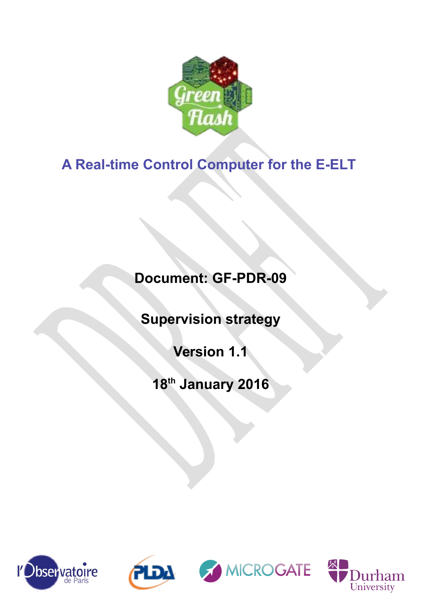

# **A Real-time Control Computer for the E-ELT**

# **Document: GF-PDR-09**

**Supervision strategy**

**Version 1.1**

**18th January 2016**







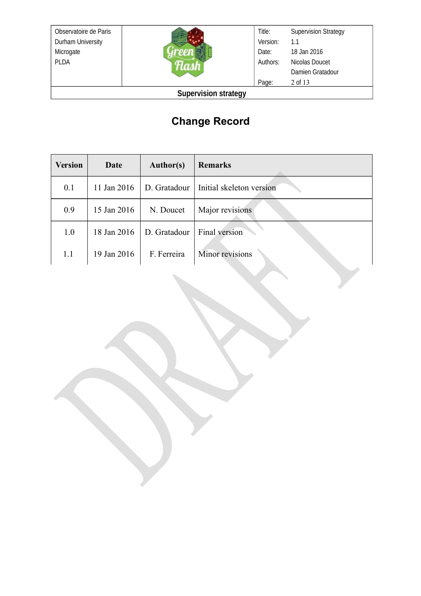Observatoire de Paris Durham University Microgate PLDA



**Supervision strategy**

## **Change Record**

| <b>Version</b> | Date        | <b>Author(s)</b> | <b>Remarks</b>           |
|----------------|-------------|------------------|--------------------------|
| 0.1            | 11 Jan 2016 | D. Gratadour     | Initial skeleton version |
| 0.9            | 15 Jan 2016 | N. Doucet        | Major revisions          |
| 1.0            | 18 Jan 2016 | D. Gratadour     | Final version            |
| 1.1            | 19 Jan 2016 | F. Ferreira      | Minor revisions          |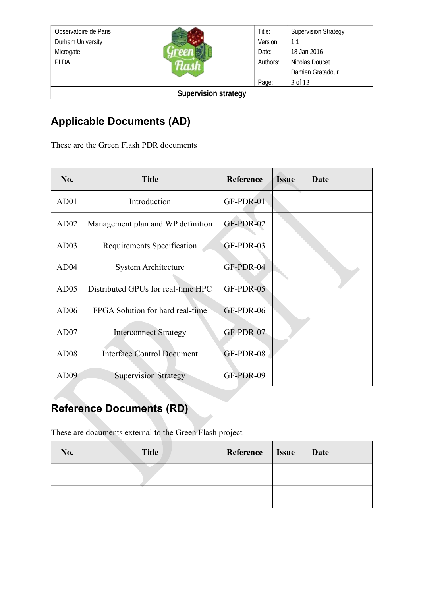| Observatoire de Paris       |  | Title:   | <b>Supervision Strategy</b> |
|-----------------------------|--|----------|-----------------------------|
| Durham University           |  | Version: | 1.1                         |
| Microgate                   |  | Date:    | 18 Jan 2016                 |
| <b>PLDA</b>                 |  | Authors: | Nicolas Doucet              |
|                             |  |          | Damien Gratadour            |
|                             |  | Page:    | 3 of 13                     |
| <b>Supervision strategy</b> |  |          |                             |

## **Applicable Documents (AD)**

These are the Green Flash PDR documents

| No.              | <b>Title</b>                       | Reference | <b>Issue</b> | Date |
|------------------|------------------------------------|-----------|--------------|------|
| AD01             | Introduction                       | GF-PDR-01 |              |      |
| AD02             | Management plan and WP definition  | GF-PDR-02 |              |      |
| AD03             | Requirements Specification         | GF-PDR-03 |              |      |
| AD04             | <b>System Architecture</b>         | GF-PDR-04 |              |      |
| AD05             | Distributed GPUs for real-time HPC | GF-PDR-05 |              |      |
| AD06             | FPGA Solution for hard real-time   | GF-PDR-06 |              |      |
| AD07             | <b>Interconnect Strategy</b>       | GF-PDR-07 |              |      |
| AD <sub>08</sub> | <b>Interface Control Document</b>  | GF-PDR-08 |              |      |
| AD <sub>09</sub> | <b>Supervision Strategy</b>        | GF-PDR-09 |              |      |

# **Reference Documents (RD)**

These are documents external to the Green Flash project

| No. | <b>Title</b> | Reference   Issue | Date |
|-----|--------------|-------------------|------|
|     |              |                   |      |
|     |              |                   |      |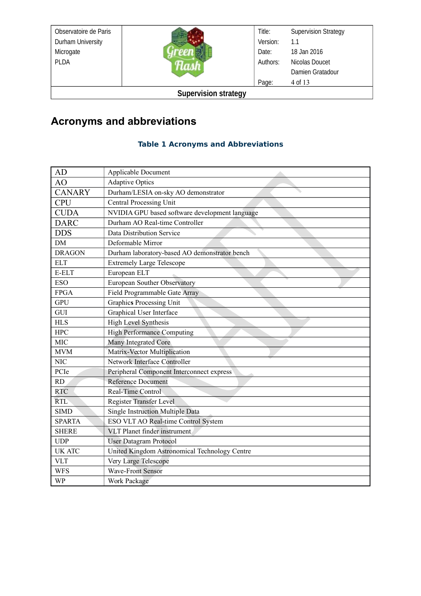| Observatoire de Paris       |  | Title:   | <b>Supervision Strategy</b> |
|-----------------------------|--|----------|-----------------------------|
| Durham University           |  | Version: | 1.1                         |
| Microgate                   |  | Date:    | 18 Jan 2016                 |
| <b>PLDA</b>                 |  | Authors: | Nicolas Doucet              |
|                             |  |          | Damien Gratadour            |
|                             |  | Page:    | 4 of 13                     |
| <b>Supervision strategy</b> |  |          |                             |

## **Acronyms and abbreviations**

#### **Table 1 Acronyms and Abbreviations**

| AD            | Applicable Document                            |
|---------------|------------------------------------------------|
| AO            | <b>Adaptive Optics</b>                         |
| <b>CANARY</b> | Durham/LESIA on-sky AO demonstrator            |
| <b>CPU</b>    | Central Processing Unit                        |
| <b>CUDA</b>   | NVIDIA GPU based software development language |
| <b>DARC</b>   | Durham AO Real-time Controller                 |
| <b>DDS</b>    | Data Distribution Service                      |
| DM            | Deformable Mirror                              |
| <b>DRAGON</b> | Durham laboratory-based AO demonstrator bench  |
| <b>ELT</b>    | <b>Extremely Large Telescope</b>               |
| E-ELT         | European ELT                                   |
| <b>ESO</b>    | European Souther Observatory                   |
| <b>FPGA</b>   | Field Programmable Gate Array                  |
| <b>GPU</b>    | Graphics Processing Unit                       |
| GUI           | Graphical User Interface                       |
| <b>HLS</b>    | <b>High Level Synthesis</b>                    |
| <b>HPC</b>    | <b>High Performance Computing</b>              |
| <b>MIC</b>    | Many Integrated Core                           |
| <b>MVM</b>    | Matrix-Vector Multiplication                   |
| <b>NIC</b>    | Network Interface Controller                   |
| PCIe          | Peripheral Component Interconnect express      |
| RD            | <b>Reference Document</b>                      |
| <b>RTC</b>    | Real-Time Control                              |
| <b>RTL</b>    | Register Transfer Level                        |
| <b>SIMD</b>   | Single Instruction Multiple Data               |
| <b>SPARTA</b> | ESO VLT AO Real-time Control System            |
| <b>SHERE</b>  | VLT Planet finder instrument                   |
| <b>UDP</b>    | <b>User Datagram Protocol</b>                  |
| <b>UK ATC</b> | United Kingdom Astronomical Technology Centre  |
| <b>VLT</b>    | Very Large Telescope                           |
| <b>WFS</b>    | <b>Wave-Front Sensor</b>                       |
| <b>WP</b>     | Work Package                                   |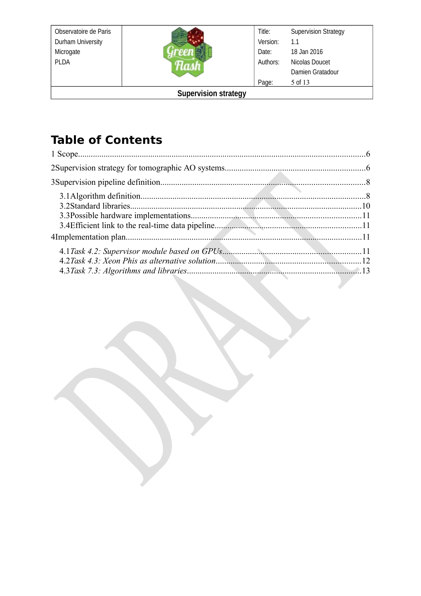Observatoire de Paris Durham University Microgate PLDA



#### **Supervision strategy**

## **Table of Contents**

| 13 |
|----|
|    |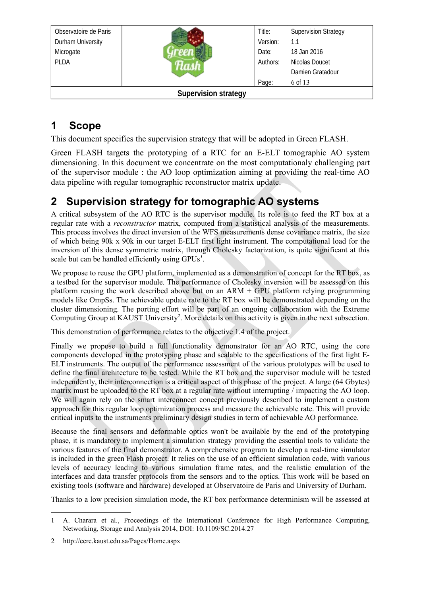| Observatoire de Paris       |  | Title:   | <b>Supervision Strategy</b> |
|-----------------------------|--|----------|-----------------------------|
| Durham University           |  | Version: | 1.1                         |
| Microgate                   |  | Date:    | 18 Jan 2016                 |
| <b>PLDA</b>                 |  | Authors: | Nicolas Doucet              |
|                             |  |          | Damien Gratadour            |
|                             |  | Page:    | 6 of 13                     |
| <b>Supervision strategy</b> |  |          |                             |

## <span id="page-5-1"></span>**1 Scope**

This document specifies the supervision strategy that will be adopted in Green FLASH.

Green FLASH targets the prototyping of a RTC for an E-ELT tomographic AO system dimensioning. In this document we concentrate on the most computationaly challenging part of the supervisor module : the AO loop optimization aiming at providing the real-time AO data pipeline with regular tomographic reconstructor matrix update.

## <span id="page-5-0"></span>**2 Supervision strategy for tomographic AO systems**

A critical subsystem of the AO RTC is the supervisor module. Its role is to feed the RT box at a regular rate with a *reconstructor* matrix, computed from a statistical analysis of the measurements. This process involves the direct inversion of the WFS measurements dense covariance matrix, the size of which being 90k x 90k in our target E-ELT first light instrument. The computational load for the inversion of this dense symmetric matrix, through Cholesky factorization, is quite significant at this scale but can be handled efficiently using GPUs*[1](#page-5-2)* .

We propose to reuse the GPU platform, implemented as a demonstration of concept for the RT box, as a testbed for the supervisor module. The performance of Cholesky inversion will be assessed on this platform reusing the work described above but on an ARM + GPU platform relying programming models like OmpSs. The achievable update rate to the RT box will be demonstrated depending on the cluster dimensioning. The porting effort will be part of an ongoing collaboration with the Extreme Computing Group at KAUST University<sup>[2](#page-5-3)</sup>. More details on this activity is given in the next subsection.

This demonstration of performance relates to the objective 1.4 of the project.

Finally we propose to build a full functionality demonstrator for an AO RTC, using the core components developed in the prototyping phase and scalable to the specifications of the first light E-ELT instruments. The output of the performance assessment of the various prototypes will be used to define the final architecture to be tested. While the RT box and the supervisor module will be tested independently, their interconnection is a critical aspect of this phase of the project. A large (64 Gbytes) matrix must be uploaded to the RT box at a regular rate without interrupting / impacting the AO loop. We will again rely on the smart interconnect concept previously described to implement a custom approach for this regular loop optimization process and measure the achievable rate. This will provide critical inputs to the instruments preliminary design studies in term of achievable AO performance.

Because the final sensors and deformable optics won't be available by the end of the prototyping phase, it is mandatory to implement a simulation strategy providing the essential tools to validate the various features of the final demonstrator. A comprehensive program to develop a real-time simulator is included in the green Flash project. It relies on the use of an efficient simulation code, with various levels of accuracy leading to various simulation frame rates, and the realistic emulation of the interfaces and data transfer protocols from the sensors and to the optics. This work will be based on existing tools (software and hardware) developed at Observatoire de Paris and University of Durham.

Thanks to a low precision simulation mode, the RT box performance determinism will be assessed at

<span id="page-5-2"></span><sup>1</sup> A. Charara et al., Proceedings of the International Conference for High Performance Computing, Networking, Storage and Analysis 2014, DOI: 10.1109/SC.2014.27

<span id="page-5-3"></span><sup>2</sup> http://ecrc.kaust.edu.sa/Pages/Home.aspx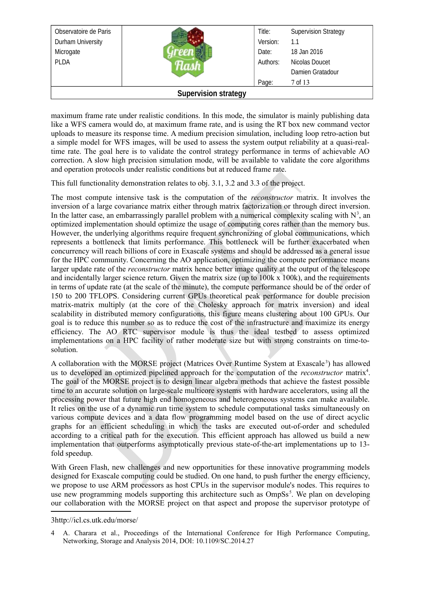| Observatoire de Paris       |  | Title:   | <b>Supervision Strategy</b> |
|-----------------------------|--|----------|-----------------------------|
| Durham University           |  | Version: | 1.1                         |
| Microgate                   |  | Date:    | 18 Jan 2016                 |
| <b>PLDA</b>                 |  | Authors: | Nicolas Doucet              |
|                             |  |          | Damien Gratadour            |
|                             |  | Page:    | 7 of 13                     |
| <b>Supervision strategy</b> |  |          |                             |

maximum frame rate under realistic conditions. In this mode, the simulator is mainly publishing data like a WFS camera would do, at maximum frame rate, and is using the RT box new command vector uploads to measure its response time. A medium precision simulation, including loop retro-action but a simple model for WFS images, will be used to assess the system output reliability at a quasi-realtime rate. The goal here is to validate the control strategy performance in terms of achievable AO correction. A slow high precision simulation mode, will be available to validate the core algorithms and operation protocols under realistic conditions but at reduced frame rate.

This full functionality demonstration relates to obj. 3.1, 3.2 and 3.3 of the project.

The most compute intensive task is the computation of the *reconstructor* matrix. It involves the inversion of a large covariance matrix either through matrix factorization or through direct inversion. In the latter case, an embarrassingly parallel problem with a numerical complexity scaling with  $N^3$ , an optimized implementation should optimize the usage of computing cores rather than the memory bus. However, the underlying algorithms require frequent synchronizing of global communications, which represents a bottleneck that limits performance. This bottleneck will be further exacerbated when concurrency will reach billions of core in Exascale systems and should be addressed as a general issue for the HPC community. Concerning the AO application, optimizing the compute performance means larger update rate of the *reconstructor* matrix hence better image quality at the output of the telescope and incidentally larger science return. Given the matrix size (up to 100k x 100k), and the requirements in terms of update rate (at the scale of the minute), the compute performance should be of the order of 150 to 200 TFLOPS. Considering current GPUs theoretical peak performance for double precision matrix-matrix multiply (at the core of the Cholesky approach for matrix inversion) and ideal scalability in distributed memory configurations, this figure means clustering about 100 GPUs. Our goal is to reduce this number so as to reduce the cost of the infrastructure and maximize its energy efficiency. The AO RTC supervisor module is thus the ideal testbed to assess optimized implementations on a HPC facility of rather moderate size but with strong constraints on time-tosolution.

A collaboration with the MORSE project (Matrices Over Runtime System at Exascale<sup>[3](#page-6-0)</sup>) has allowed us to developed an optimized pipelined approach for the computation of the *reconstructor* matrix<sup>[4](#page-6-1)</sup>. The goal of the MORSE project is to design linear algebra methods that achieve the fastest possible time to an accurate solution on large-scale multicore systems with hardware accelerators, using all the processing power that future high end homogeneous and heterogeneous systems can make available. It relies on the use of a dynamic run time system to schedule computational tasks simultaneously on various compute devices and a data flow programming model based on the use of direct acyclic graphs for an efficient scheduling in which the tasks are executed out-of-order and scheduled according to a critical path for the execution. This efficient approach has allowed us build a new implementation that outperforms asymptotically previous state-of-the-art implementations up to 13 fold speedup.

With Green Flash, new challenges and new opportunities for these innovative programming models designed for Exascale computing could be studied. On one hand, to push further the energy efficiency, we propose to use ARM processors as host CPUs in the supervisor module's nodes. This requires to use new programming models supporting this architecture such as  $OmpSs<sup>5</sup>$ . We plan on developing our collaboration with the MORSE project on that aspect and propose the supervisor prototype of

<span id="page-6-0"></span>3http://icl.cs.utk.edu/morse/

<span id="page-6-1"></span><sup>4</sup> A. Charara et al., Proceedings of the International Conference for High Performance Computing, Networking, Storage and Analysis 2014, DOI: 10.1109/SC.2014.27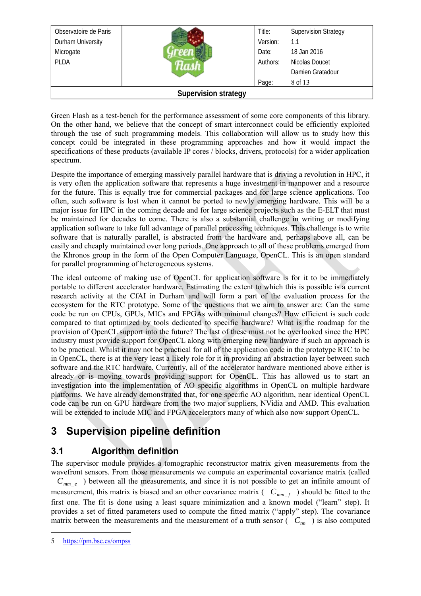| Observatoire de Paris       |  | Title:   | <b>Supervision Strategy</b> |
|-----------------------------|--|----------|-----------------------------|
| Durham University           |  | Version: | 1.1                         |
| Microgate                   |  | Date:    | 18 Jan 2016                 |
| <b>PLDA</b>                 |  | Authors: | Nicolas Doucet              |
|                             |  |          | Damien Gratadour            |
|                             |  | Page:    | 8 of 13                     |
| <b>Supervision strategy</b> |  |          |                             |

Green Flash as a test-bench for the performance assessment of some core components of this library. On the other hand, we believe that the concept of smart interconnect could be efficiently exploited through the use of such programming models. This collaboration will allow us to study how this concept could be integrated in these programming approaches and how it would impact the specifications of these products (available IP cores / blocks, drivers, protocols) for a wider application spectrum.

Despite the importance of emerging massively parallel hardware that is driving a revolution in HPC, it is very often the application software that represents a huge investment in manpower and a resource for the future. This is equally true for commercial packages and for large science applications. Too often, such software is lost when it cannot be ported to newly emerging hardware. This will be a major issue for HPC in the coming decade and for large science projects such as the E-ELT that must be maintained for decades to come. There is also a substantial challenge in writing or modifying application software to take full advantage of parallel processing techniques. This challenge is to write software that is naturally parallel, is abstracted from the hardware and, perhaps above all, can be easily and cheaply maintained over long periods. One approach to all of these problems emerged from the Khronos group in the form of the Open Computer Language, OpenCL. This is an open standard for parallel programming of heterogeneous systems.

The ideal outcome of making use of OpenCL for application software is for it to be immediately portable to different accelerator hardware. Estimating the extent to which this is possible is a current research activity at the CfAI in Durham and will form a part of the evaluation process for the ecosystem for the RTC prototype. Some of the questions that we aim to answer are: Can the same code be run on CPUs, GPUs, MICs and FPGAs with minimal changes? How efficient is such code compared to that optimized by tools dedicated to specific hardware? What is the roadmap for the provision of OpenCL support into the future? The last of these must not be overlooked since the HPC industry must provide support for OpenCL along with emerging new hardware if such an approach is to be practical. Whilst it may not be practical for all of the application code in the prototype RTC to be in OpenCL, there is at the very least a likely role for it in providing an abstraction layer between such software and the RTC hardware. Currently, all of the accelerator hardware mentioned above either is already or is moving towards providing support for OpenCL. This has allowed us to start an investigation into the implementation of AO specific algorithms in OpenCL on multiple hardware platforms. We have already demonstrated that, for one specific AO algorithm, near identical OpenCL code can be run on GPU hardware from the two major suppliers, NVidia and AMD. This evaluation will be extended to include MIC and FPGA accelerators many of which also now support OpenCL.

## <span id="page-7-1"></span>**3 Supervision pipeline definition**

#### <span id="page-7-0"></span>**3.1 Algorithm definition**

The supervisor module provides a tomographic reconstructor matrix given measurements from the wavefront sensors. From those measurements we compute an experimental covariance matrix (called  $C_{mm_e}$ ) between all the measurements, and since it is not possible to get an infinite amount of measurement, this matrix is biased and an other covariance matrix  $(C_{mm_{f}})$  should be fitted to the first one. The fit is done using a least square minimization and a known model ("learn" step). It provides a set of fitted parameters used to compute the fitted matrix ("apply" step). The covariance matrix between the measurements and the measurement of a truth sensor  $\left(\begin{array}{cc} C_{tm} \end{array}\right)$  is also computed

<sup>5</sup> <https://pm.bsc.es/ompss>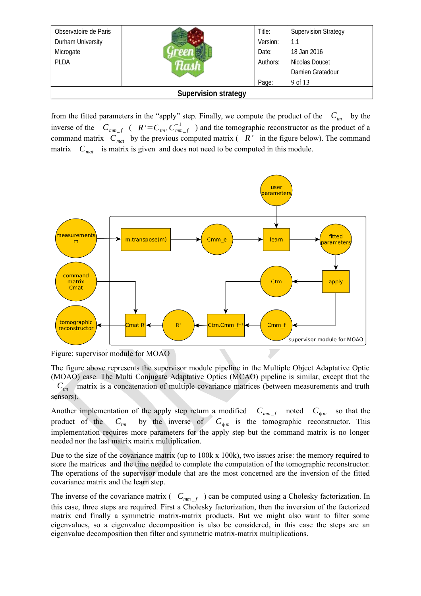| Observatoire de Paris       |  | Title:   | <b>Supervision Strategy</b> |
|-----------------------------|--|----------|-----------------------------|
| Durham University           |  | Version: | 1.1                         |
| Microgate                   |  | Date:    | 18 Jan 2016                 |
| <b>PLDA</b>                 |  | Authors: | Nicolas Doucet              |
|                             |  |          | Damien Gratadour            |
|                             |  | Page:    | 9 of 13                     |
| <b>Supervision strategy</b> |  |          |                             |

from the fitted parameters in the "apply" step. Finally, we compute the product of the  $C_{tm}$  by the inverse of the  $C_{mm_{-}f}$  ( $R' = C_{tm}$ ,  $C_{mm_{-}f}^{-1}$ ) and the tomographic reconstructor as the product of a command matrix  $C_{mat}$  by the previous computed matrix ( $R'$  in the figure below). The command matrix  $C_{\text{mat}}$  is matrix is given and does not need to be computed in this module.



Figure: supervisor module for MOAO

The figure above represents the supervisor module pipeline in the Multiple Object Adaptative Optic (MOAO) case. The Multi Conjugate Adaptative Optics (MCAO) pipeline is similar, except that the *Ctm* matrix is a concatenation of multiple covariance matrices (between measurements and truth

sensors).

Another implementation of the apply step return a modified  $C_{mm-f}$  noted  $C_{\phi m}$  so that the product of the  $C_{tm}$  by the inverse of  $C_{\phi m}$  is the tomographic reconstructor. This implementation requires more parameters for the apply step but the command matrix is no longer needed nor the last matrix matrix multiplication.

Due to the size of the covariance matrix (up to 100k x 100k), two issues arise: the memory required to store the matrices and the time needed to complete the computation of the tomographic reconstructor. The operations of the supervisor module that are the most concerned are the inversion of the fitted covariance matrix and the learn step.

The inverse of the covariance matrix ( $C_{mm_f}$ ) can be computed using a Cholesky factorization. In this case, three steps are required. First a Cholesky factorization, then the inversion of the factorized matrix end finally a symmetric matrix-matrix products. But we might also want to filter some eigenvalues, so a eigenvalue decomposition is also be considered, in this case the steps are an eigenvalue decomposition then filter and symmetric matrix-matrix multiplications.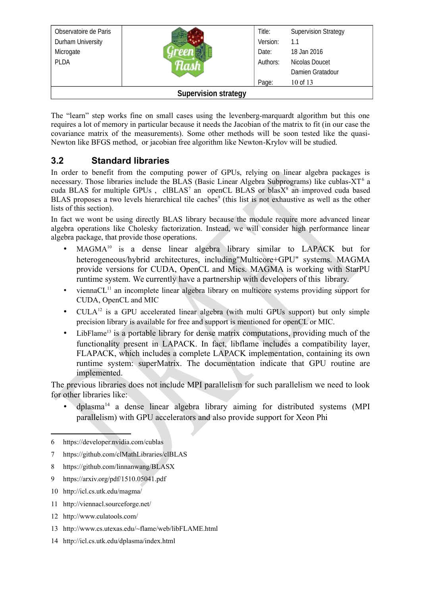| Observatoire de Paris       |  | Title:   | <b>Supervision Strategy</b> |  |
|-----------------------------|--|----------|-----------------------------|--|
| Durham University           |  | Version: | 1.1                         |  |
| Microgate                   |  | Date:    | 18 Jan 2016                 |  |
| <b>PLDA</b>                 |  | Authors: | Nicolas Doucet              |  |
|                             |  |          | Damien Gratadour            |  |
|                             |  | Page:    | 10 of 13                    |  |
| <b>Supervision strategy</b> |  |          |                             |  |

The "learn" step works fine on small cases using the levenberg-marquardt algorithm but this one requires a lot of memory in particular because it needs the Jacobian of the matrix to fit (in our case the covariance matrix of the measurements). Some other methods will be soon tested like the quasi-Newton like BFGS method, or jacobian free algorithm like Newton-Krylov will be studied.

#### <span id="page-9-0"></span>**3.2 Standard libraries**

In order to benefit from the computing power of GPUs, relying on linear algebra packages is necessary. Those libraries include the BLAS (Basic Linear Algebra Subprograms) like cublas- $XT<sup>6</sup>$  $XT<sup>6</sup>$  $XT<sup>6</sup>$  a cuda BLAS for multiple GPUs, clBLAS<sup>[7](#page-9-2)</sup> an openCL BLAS or blasX<sup>[8](#page-9-3)</sup> an improved cuda based BLAS proposes a two levels hierarchical tile caches<sup>[9](#page-9-4)</sup> (this list is not exhaustive as well as the other lists of this section).

In fact we wont be using directly BLAS library because the module require more advanced linear algebra operations like Cholesky factorization. Instead, we will consider high performance linear algebra package, that provide those operations.

- $MAGMA^{10}$  $MAGMA^{10}$  $MAGMA^{10}$  is a dense linear algebra library similar to  $LAPACK$  but for heterogeneous/hybrid architectures, including"Multicore+GPU" systems. MAGMA provide versions for CUDA, OpenCL and Mics. MAGMA is working with StarPU runtime system. We currently have a partnership with developers of this library.
- vienna $CL<sup>11</sup>$  $CL<sup>11</sup>$  $CL<sup>11</sup>$  an incomplete linear algebra library on multicore systems providing support for CUDA, OpenCL and MIC
- CULA<sup>[12](#page-9-7)</sup> is a GPU accelerated linear algebra (with multi GPUs support) but only simple precision library is available for free and support is mentioned for openCL or MIC.
- LibFlame<sup>[13](#page-9-8)</sup> is a portable library for dense matrix computations, providing much of the functionality present in LAPACK. In fact, libflame includes a compatibility layer, FLAPACK, which includes a complete LAPACK implementation, containing its own runtime system: superMatrix. The documentation indicate that GPU routine are implemented.

The previous libraries does not include MPI parallelism for such parallelism we need to look for other libraries like:

 $d$ plasma<sup>[14](#page-9-9)</sup> a dense linear algebra library aiming for distributed systems (MPI) parallelism) with GPU accelerators and also provide support for Xeon Phi

- <span id="page-9-2"></span>7 https://github.com/clMathLibraries/clBLAS
- <span id="page-9-3"></span>8 https://github.com/linnanwang/BLASX
- <span id="page-9-4"></span>9 https://arxiv.org/pdf/1510.05041.pdf
- <span id="page-9-5"></span>10 http://icl.cs.utk.edu/magma/
- <span id="page-9-6"></span>11 http://viennacl.sourceforge.net/
- <span id="page-9-7"></span>12 http://www.culatools.com/
- <span id="page-9-8"></span>13 http://www.cs.utexas.edu/~flame/web/libFLAME.html
- <span id="page-9-9"></span>14 http://icl.cs.utk.edu/dplasma/index.html

<span id="page-9-1"></span><sup>6</sup> https://developer.nvidia.com/cublas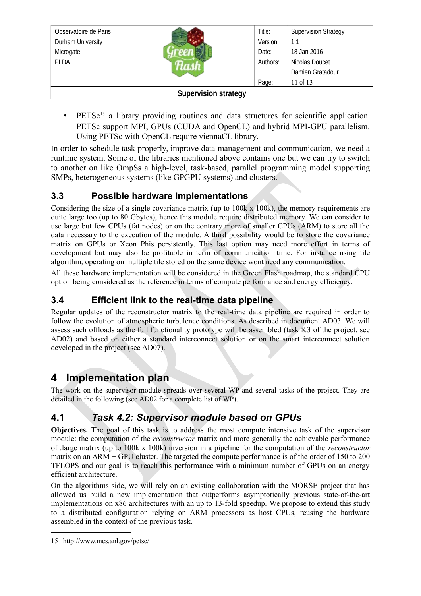| Observatoire de Paris |                             | Title:   | <b>Supervision Strategy</b> |
|-----------------------|-----------------------------|----------|-----------------------------|
| Durham University     |                             | Version: | 1.1                         |
| Microgate             |                             | Date:    | 18 Jan 2016                 |
| <b>PLDA</b>           |                             | Authors: | Nicolas Doucet              |
|                       |                             |          | Damien Gratadour            |
|                       |                             | Page:    | 11 of 13                    |
|                       | <b>Supervision strategy</b> |          |                             |

• PETS $c^{15}$  $c^{15}$  $c^{15}$  a library providing routines and data structures for scientific application. PETSc support MPI, GPUs (CUDA and OpenCL) and hybrid MPI-GPU parallelism. Using PETSc with OpenCL require viennaCL library.

In order to schedule task properly, improve data management and communication, we need a runtime system. Some of the libraries mentioned above contains one but we can try to switch to another on like OmpSs a high-level, task-based, parallel programming model supporting SMPs, heterogeneous systems (like GPGPU systems) and clusters.

#### <span id="page-10-3"></span>**3.3 Possible hardware implementations**

Considering the size of a single covariance matrix (up to  $100k \times 100k$ ), the memory requirements are quite large too (up to 80 Gbytes), hence this module require distributed memory. We can consider to use large but few CPUs (fat nodes) or on the contrary more of smaller CPUs (ARM) to store all the data necessary to the execution of the module. A third possibility would be to store the covariance matrix on GPUs or Xeon Phis persistently. This last option may need more effort in terms of development but may also be profitable in term of communication time. For instance using tile algorithm, operating on multiple tile stored on the same device wont need any communication.

All these hardware implementation will be considered in the Green Flash roadmap, the standard CPU option being considered as the reference in terms of compute performance and energy efficiency.

#### <span id="page-10-2"></span>**3.4 Efficient link to the real-time data pipeline**

Regular updates of the reconstructor matrix to the real-time data pipeline are required in order to follow the evolution of atmospheric turbulence conditions. As described in document AD03. We will assess such offloads as the full functionality prototype will be assembled (task 8.3 of the project, see AD02) and based on either a standard interconnect solution or on the smart interconnect solution developed in the project (see AD07).

### <span id="page-10-1"></span>**4 Implementation plan**

The work on the supervisor module spreads over several WP and several tasks of the project. They are detailed in the following (see AD02 for a complete list of WP).

### <span id="page-10-0"></span>**4.1** *Task 4.2: Supervisor module based on GPUs*

**Objectives.** The goal of this task is to address the most compute intensive task of the supervisor module: the computation of the *reconstructor* matrix and more generally the achievable performance of .large matrix (up to 100k x 100k) inversion in a pipeline for the computation of the *reconstructor* matrix on an ARM + GPU cluster. The targeted the compute performance is of the order of 150 to 200 TFLOPS and our goal is to reach this performance with a minimum number of GPUs on an energy efficient architecture.

On the algorithms side, we will rely on an existing collaboration with the MORSE project that has allowed us build a new implementation that outperforms asymptotically previous state-of-the-art implementations on x86 architectures with an up to 13-fold speedup. We propose to extend this study to a distributed configuration relying on ARM processors as host CPUs, reusing the hardware assembled in the context of the previous task.

<span id="page-10-4"></span><sup>15</sup> http://www.mcs.anl.gov/petsc/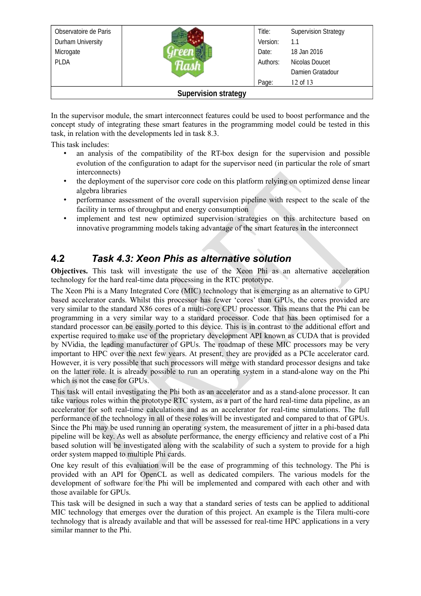| Observatoire de Paris |                             | Title:   | <b>Supervision Strategy</b> |
|-----------------------|-----------------------------|----------|-----------------------------|
| Durham University     |                             | Version: | 1.1                         |
| Microgate             |                             | Date:    | 18 Jan 2016                 |
| <b>PLDA</b>           |                             | Authors: | Nicolas Doucet              |
|                       |                             |          | Damien Gratadour            |
|                       |                             | Page:    | 12 of 13                    |
|                       | <b>Supervision strategy</b> |          |                             |

In the supervisor module, the smart interconnect features could be used to boost performance and the concept study of integrating these smart features in the programming model could be tested in this task, in relation with the developments led in task 8.3.

This task includes:

- an analysis of the compatibility of the RT-box design for the supervision and possible evolution of the configuration to adapt for the supervisor need (in particular the role of smart interconnects)
- the deployment of the supervisor core code on this platform relying on optimized dense linear algebra libraries
- performance assessment of the overall supervision pipeline with respect to the scale of the facility in terms of throughput and energy consumption
- implement and test new optimized supervision strategies on this architecture based on innovative programming models taking advantage of the smart features in the interconnect

#### <span id="page-11-0"></span>**4.2** *Task 4.3: Xeon Phis as alternative solution*

**Objectives.** This task will investigate the use of the Xeon Phi as an alternative acceleration technology for the hard real-time data processing in the RTC prototype.

The Xeon Phi is a Many Integrated Core (MIC) technology that is emerging as an alternative to GPU based accelerator cards. Whilst this processor has fewer 'cores' than GPUs, the cores provided are very similar to the standard X86 cores of a multi-core CPU processor. This means that the Phi can be programming in a very similar way to a standard processor. Code that has been optimised for a standard processor can be easily ported to this device. This is in contrast to the additional effort and expertise required to make use of the proprietary development API known as CUDA that is provided by NVidia, the leading manufacturer of GPUs. The roadmap of these MIC processors may be very important to HPC over the next few years. At present, they are provided as a PCIe accelerator card. However, it is very possible that such processors will merge with standard processor designs and take on the latter role. It is already possible to run an operating system in a stand-alone way on the Phi which is not the case for GPUs.

This task will entail investigating the Phi both as an accelerator and as a stand-alone processor. It can take various roles within the prototype RTC system, as a part of the hard real-time data pipeline, as an accelerator for soft real-time calculations and as an accelerator for real-time simulations. The full performance of the technology in all of these roles will be investigated and compared to that of GPUs. Since the Phi may be used running an operating system, the measurement of jitter in a phi-based data pipeline will be key. As well as absolute performance, the energy efficiency and relative cost of a Phi based solution will be investigated along with the scalability of such a system to provide for a high order system mapped to multiple Phi cards.

One key result of this evaluation will be the ease of programming of this technology. The Phi is provided with an API for OpenCL as well as dedicated compilers. The various models for the development of software for the Phi will be implemented and compared with each other and with those available for GPUs.

This task will be designed in such a way that a standard series of tests can be applied to additional MIC technology that emerges over the duration of this project. An example is the Tilera multi-core technology that is already available and that will be assessed for real-time HPC applications in a very similar manner to the Phi.